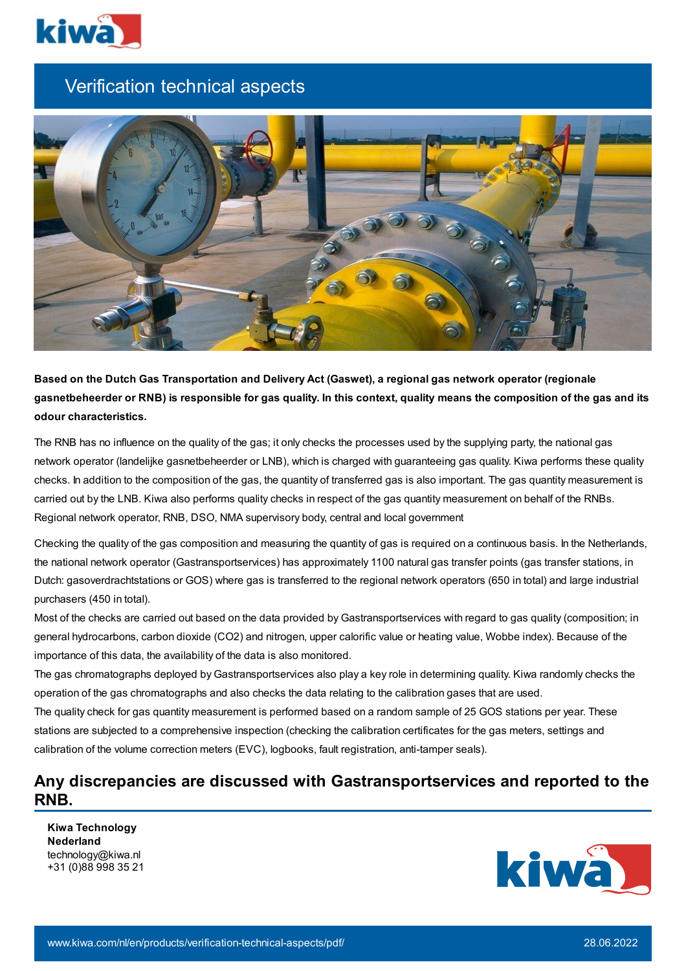

## Verification technical aspects



**Based on the Dutch Gas Transportation and Delivery Act (Gaswet), a regional gas network operator (regionale** gasnetbeheerder or RNB) is responsible for gas quality. In this context, quality means the composition of the gas and its **odour characteristics.**

The RNB has no influence on the quality of the gas; it only checks the processes used by the supplying party, the national gas network operator (landelijke gasnetbeheerder or LNB), which is charged with guaranteeing gas quality. Kiwa performs these quality checks. In addition to the composition of the gas, the quantity of transferred gas is also important. The gas quantity measurement is carried out by the LNB. Kiwa also performs quality checks in respect of the gas quantity measurement on behalf of the RNBs. Regional network operator, RNB, DSO, NMA supervisory body, central and local government

Checking the quality of the gas composition and measuring the quantity of gas is required on a continuous basis. In the Netherlands, the national network operator (Gastransportservices) has approximately 1100 natural gas transfer points (gas transfer stations, in Dutch: gasoverdrachtstations or GOS) where gas is transferred to the regional network operators (650 in total) and large industrial purchasers (450 in total).

Most of the checks are carried out based on the data provided by Gastransportservices with regard to gas quality (composition; in general hydrocarbons, carbon dioxide (CO2) and nitrogen, upper calorific value or heating value, Wobbe index). Because of the importance of this data, the availability of the data is also monitored.

The gas chromatographs deployed by Gastransportservices also play a key role in determining quality. Kiwa randomly checks the operation of the gas chromatographs and also checks the data relating to the calibration gases that are used.

The quality check for gas quantity measurement is performed based on a random sample of 25 GOS stations per year. These stations are subjected to a comprehensive inspection (checking the calibration certificates for the gas meters, settings and calibration of the volume correction meters (EVC), logbooks, fault registration, anti-tamper seals).

## **Any discrepancies are discussed with Gastransportservices and reported to the RNB.**

**Kiwa Technology Nederland** technology@kiwa.nl +31 (0)88 998 35 21